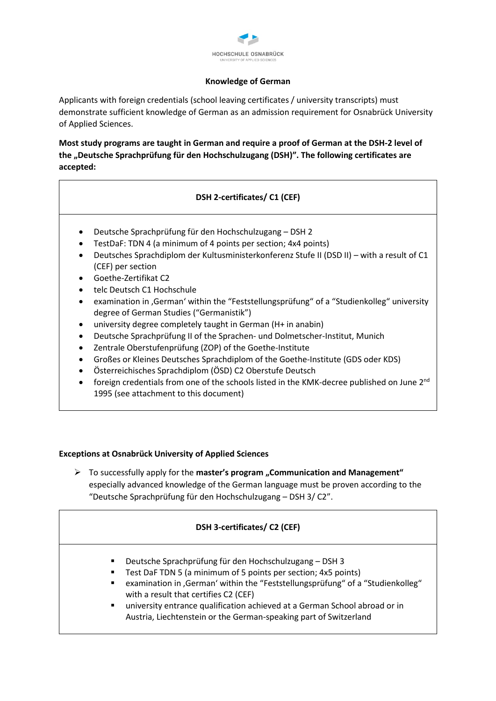

#### **Knowledge of German**

Applicants with foreign credentials (school leaving certificates / university transcripts) must demonstrate sufficient knowledge of German as an admission requirement for Osnabrück University of Applied Sciences.

**Most study programs are taught in German and require a proof of German at the DSH-2 level of the "Deutsche Sprachprüfung für den Hochschulzugang (DSH)". The following certificates are accepted:**

# **DSH 2-certificates/ C1 (CEF)**

- Deutsche Sprachprüfung für den Hochschulzugang DSH 2
- TestDaF: TDN 4 (a minimum of 4 points per section; 4x4 points)
- Deutsches Sprachdiplom der Kultusministerkonferenz Stufe II (DSD II) with a result of C1 (CEF) per section
- Goethe-Zertifikat C2
- telc Deutsch C1 Hochschule
- examination in , German' within the "Feststellungsprüfung" of a "Studienkolleg" university degree of German Studies ("Germanistik")
- university degree completely taught in German (H+ in anabin)
- Deutsche Sprachprüfung II of the Sprachen- und Dolmetscher-Institut, Munich
- Zentrale Oberstufenprüfung (ZOP) of the Goethe-Institute
- Großes or Kleines Deutsches Sprachdiplom of the Goethe-Institute (GDS oder KDS)
- Österreichisches Sprachdiplom (ÖSD) C2 Oberstufe Deutsch
- foreign credentials from one of the schools listed in the KMK-decree published on June 2nd 1995 (see attachment to this document)

### **Exceptions at Osnabrück University of Applied Sciences**

 To successfully apply for the **master's program "Communication and Management"**  especially advanced knowledge of the German language must be proven according to the "Deutsche Sprachprüfung für den Hochschulzugang – DSH 3/ C2".

### **DSH 3-certificates/ C2 (CEF)**

- Deutsche Sprachprüfung für den Hochschulzugang DSH 3
- Test DaF TDN 5 (a minimum of 5 points per section; 4x5 points)
- examination in , German' within the "Feststellungsprüfung" of a "Studienkolleg" with a result that certifies C2 (CEF)
- university entrance qualification achieved at a German School abroad or in Austria, Liechtenstein or the German-speaking part of Switzerland